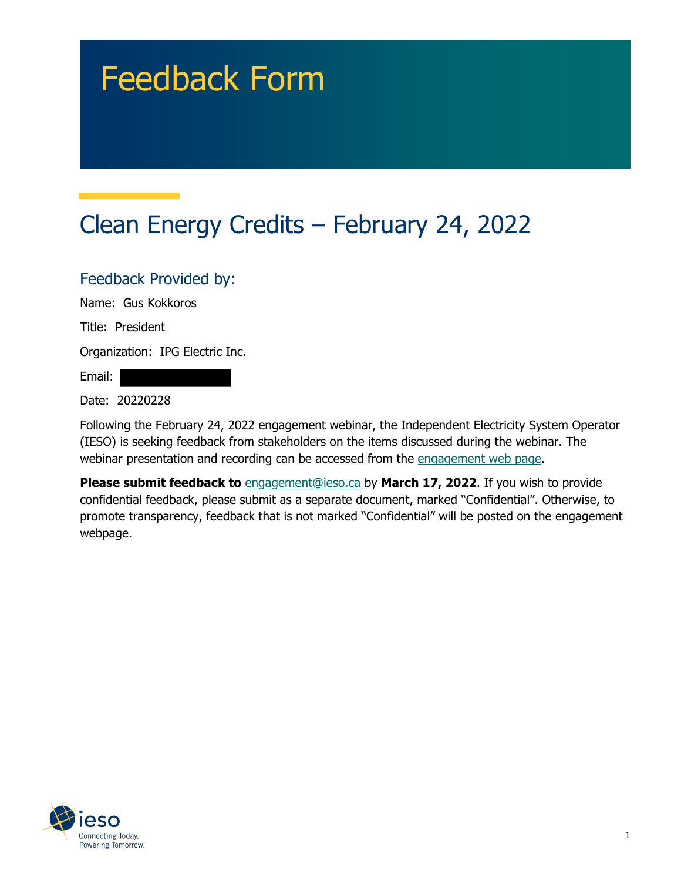# Feedback Form

## Clean Energy Credits – February 24, 2022

#### Feedback Provided by:

Name: Gus Kokkoros

Title: President

Organization: IPG Electric Inc.

Email:

Date: 20220228

Following the February 24, 2022 engagement webinar, the Independent Electricity System Operator (IESO) is seeking feedback from stakeholders on the items discussed during the webinar. The webinar presentation and recording can be accessed from the engagement web page.

**Please submit feedback to** engagement@ieso.ca by March 17, 2022. If you wish to provide confidential feedback, please submit as a separate document, marked "Confidential". Otherwise, to promote transparency, feedback that is not marked "Confidential" will be posted on the engagement webpage.

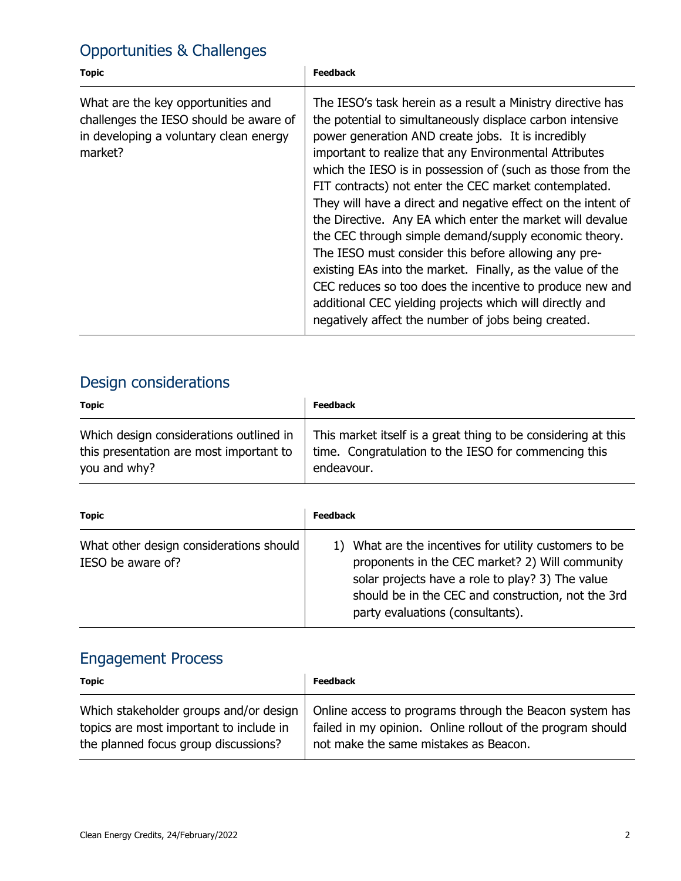### Opportunities & Challenges

| <b>Topic</b>                                                                                                                      | <b>Feedback</b>                                                                                                                                                                                                                                                                                                                                                                                                                                                                                                                                                                                                                                                                                                                                                                                                                                            |
|-----------------------------------------------------------------------------------------------------------------------------------|------------------------------------------------------------------------------------------------------------------------------------------------------------------------------------------------------------------------------------------------------------------------------------------------------------------------------------------------------------------------------------------------------------------------------------------------------------------------------------------------------------------------------------------------------------------------------------------------------------------------------------------------------------------------------------------------------------------------------------------------------------------------------------------------------------------------------------------------------------|
| What are the key opportunities and<br>challenges the IESO should be aware of<br>in developing a voluntary clean energy<br>market? | The IESO's task herein as a result a Ministry directive has<br>the potential to simultaneously displace carbon intensive<br>power generation AND create jobs. It is incredibly<br>important to realize that any Environmental Attributes<br>which the IESO is in possession of (such as those from the<br>FIT contracts) not enter the CEC market contemplated.<br>They will have a direct and negative effect on the intent of<br>the Directive. Any EA which enter the market will devalue<br>the CEC through simple demand/supply economic theory.<br>The IESO must consider this before allowing any pre-<br>existing EAs into the market. Finally, as the value of the<br>CEC reduces so too does the incentive to produce new and<br>additional CEC yielding projects which will directly and<br>negatively affect the number of jobs being created. |

#### Design considerations

| <b>Topic</b>                            | <b>Feedback</b>                                               |
|-----------------------------------------|---------------------------------------------------------------|
| Which design considerations outlined in | This market itself is a great thing to be considering at this |
| this presentation are most important to | time. Congratulation to the IESO for commencing this          |
| you and why?                            | endeavour.                                                    |

| <b>Topic</b>                                                 | <b>Feedback</b>                                                                                                                                                                                                                                         |
|--------------------------------------------------------------|---------------------------------------------------------------------------------------------------------------------------------------------------------------------------------------------------------------------------------------------------------|
| What other design considerations should<br>IESO be aware of? | 1) What are the incentives for utility customers to be<br>proponents in the CEC market? 2) Will community<br>solar projects have a role to play? 3) The value<br>should be in the CEC and construction, not the 3rd<br>party evaluations (consultants). |

### Engagement Process

| <b>Topic</b>                            | <b>Feedback</b>                                            |
|-----------------------------------------|------------------------------------------------------------|
| Which stakeholder groups and/or design  | Online access to programs through the Beacon system has    |
| topics are most important to include in | failed in my opinion. Online rollout of the program should |
| the planned focus group discussions?    | not make the same mistakes as Beacon.                      |